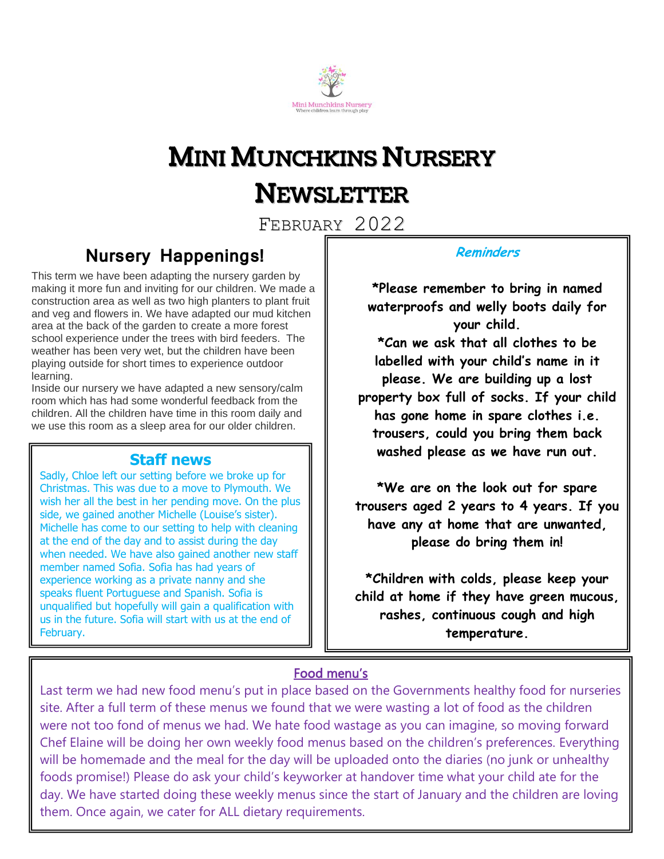

# MINI MUNCHKINS NURSERY NEWSLETTER

FEBRUARY 2022

## **Nursery Happenings!**

This term we have been adapting the nursery garden by making it more fun and inviting for our children. We made a construction area as well as two high planters to plant fruit and veg and flowers in. We have adapted our mud kitchen area at the back of the garden to create a more forest school experience under the trees with bird feeders. The weather has been very wet, but the children have been playing outside for short times to experience outdoor learning.

Inside our nursery we have adapted a new sensory/calm room which has had some wonderful feedback from the children. All the children have time in this room daily and we use this room as a sleep area for our older children.

## **Staff news**

Sadly, Chloe left our setting before we broke up for Christmas. This was due to a move to Plymouth. We wish her all the best in her pending move. On the plus side, we gained another Michelle (Louise's sister). Michelle has come to our setting to help with cleaning at the end of the day and to assist during the day when needed. We have also gained another new staff member named Sofia. Sofia has had years of experience working as a private nanny and she speaks fluent Portuguese and Spanish. Sofia is unqualified but hopefully will gain a qualification with us in the future. Sofia will start with us at the end of February.

### **Reminders**

**\*Please remember to bring in named waterproofs and welly boots daily for your child.**

**\*Can we ask that all clothes to be labelled with your child's name in it please. We are building up a lost property box full of socks. If your child has gone home in spare clothes i.e. trousers, could you bring them back washed please as we have run out.**

**\*We are on the look out for spare trousers aged 2 years to 4 years. If you have any at home that are unwanted, please do bring them in!**

**\*Children with colds, please keep your child at home if they have green mucous, rashes, continuous cough and high temperature.**

## Food menu's

Last term we had new food menu's put in place based on the Governments healthy food for nurseries site. After a full term of these menus we found that we were wasting a lot of food as the children were not too fond of menus we had. We hate food wastage as you can imagine, so moving forward Chef Elaine will be doing her own weekly food menus based on the children's preferences. Everything will be homemade and the meal for the day will be uploaded onto the diaries (no junk or unhealthy foods promise!) Please do ask your child's keyworker at handover time what your child ate for the day. We have started doing these weekly menus since the start of January and the children are loving them. Once again, we cater for ALL dietary requirements.

Ī